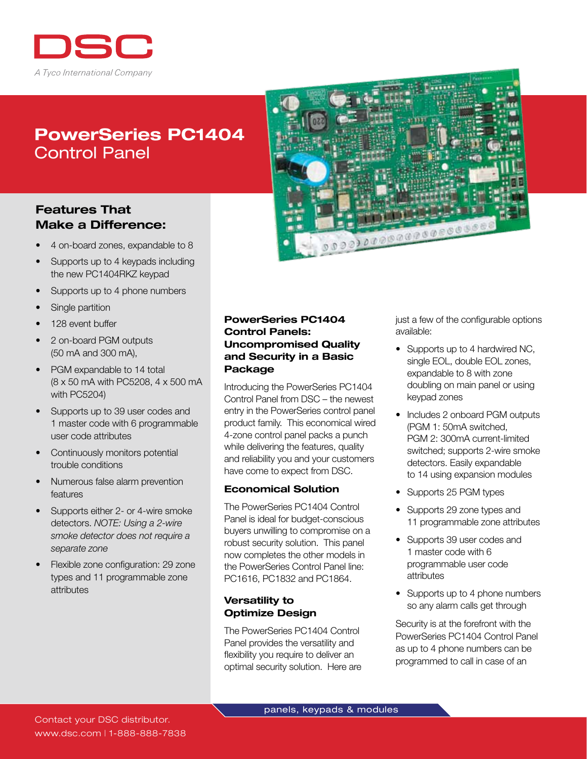

# PowerSeries PC1404 Control Panel

## Features That Make a Difference:

- 4 on-board zones, expandable to 8
- Supports up to 4 keypads including the new PC1404RKZ keypad
- Supports up to 4 phone numbers
- Single partition
- 128 event buffer
- 2 on-board PGM outputs (50 mA and 300 mA),
- PGM expandable to 14 total (8 x 50 mA with PC5208, 4 x 500 mA with PC5204)
- Supports up to 39 user codes and 1 master code with 6 programmable user code attributes
- Continuously monitors potential trouble conditions
- Numerous false alarm prevention features
- Supports either 2- or 4-wire smoke detectors. *NOTE: Using a 2-wire smoke detector does not require a separate zone*
- Flexible zone configuration: 29 zone types and 11 programmable zone attributes



## PowerSeries PC1404 Control Panels: Uncompromised Quality and Security in a Basic Package

Introducing the PowerSeries PC1404 Control Panel from DSC – the newest entry in the PowerSeries control panel product family. This economical wired 4-zone control panel packs a punch while delivering the features, quality and reliability you and your customers have come to expect from DSC.

#### Economical Solution

The PowerSeries PC1404 Control Panel is ideal for budget-conscious buyers unwilling to compromise on a robust security solution. This panel now completes the other models in the PowerSeries Control Panel line: PC1616, PC1832 and PC1864.

#### Versatility to Optimize Design

The PowerSeries PC1404 Control Panel provides the versatility and flexibility you require to deliver an optimal security solution. Here are just a few of the configurable options available:

- Supports up to 4 hardwired NC, single EOL, double EOL zones, expandable to 8 with zone doubling on main panel or using keypad zones
- Includes 2 onboard PGM outputs (PGM 1: 50mA switched, PGM 2: 300mA current-limited switched; supports 2-wire smoke detectors. Easily expandable to 14 using expansion modules
- Supports 25 PGM types
- Supports 29 zone types and 11 programmable zone attributes
- Supports 39 user codes and 1 master code with 6 programmable user code attributes
- Supports up to 4 phone numbers so any alarm calls get through

Security is at the forefront with the PowerSeries PC1404 Control Panel as up to 4 phone numbers can be programmed to call in case of an